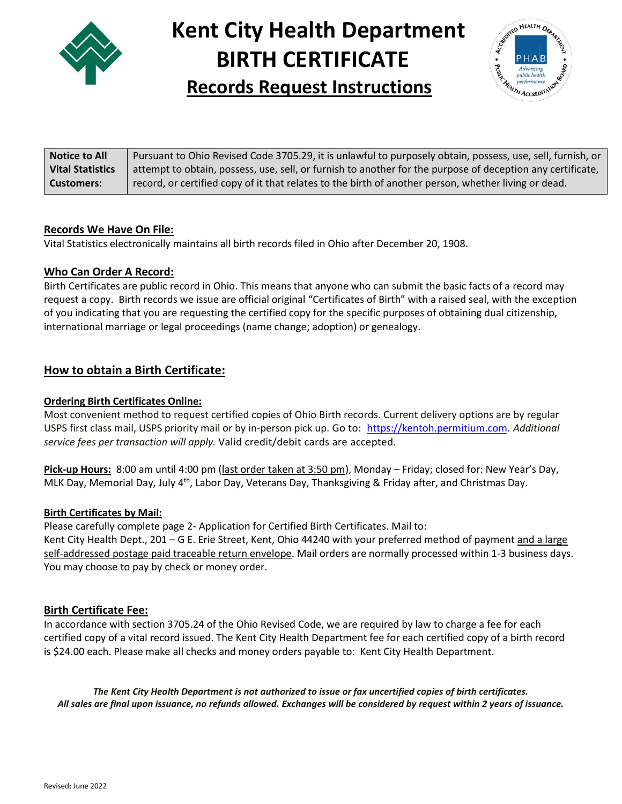

# **Kent City Health Department BIRTH CERTIFICATE Records Request Instructions**



| <b>Notice to All</b>    | Pursuant to Ohio Revised Code 3705.29, it is unlawful to purposely obtain, possess, use, sell, furnish, or |
|-------------------------|------------------------------------------------------------------------------------------------------------|
| <b>Vital Statistics</b> | attempt to obtain, possess, use, sell, or furnish to another for the purpose of deception any certificate, |
| Customers:              | record, or certified copy of it that relates to the birth of another person, whether living or dead.       |

#### **Records We Have On File:**

Vital Statistics electronically maintains all birth records filed in Ohio after December 20, 1908.

#### **Who Can Order A Record:**

Birth Certificates are public record in Ohio. This means that anyone who can submit the basic facts of a record may request a copy. Birth records we issue are official original "Certificates of Birth" with a raised seal, with the exception of you indicating that you are requesting the certified copy for the specific purposes of obtaining dual citizenship, international marriage or legal proceedings (name change; adoption) or genealogy.

### **How to obtain a Birth Certificate:**

#### **Ordering Birth Certificates Online:**

Most convenient method to request certified copies of Ohio Birth records. Current delivery options are by regular USPS first class mail, USPS priority mail or by in-person pick up. Go to: [https://kentoh.permitium.com.](https://kentoh.permitium.com/) *Additional service fees per transaction will apply.* Valid credit/debit cards are accepted.

**Pick-up Hours:** 8:00 am until 4:00 pm (last order taken at 3:50 pm), Monday – Friday; closed for: New Year's Day, MLK Day, Memorial Day, July  $4<sup>th</sup>$ , Labor Day, Veterans Day, Thanksgiving & Friday after, and Christmas Day.

#### **Birth Certificates by Mail:**

Please carefully complete page 2- Application for Certified Birth Certificates. Mail to: Kent City Health Dept., 201 – G E. Erie Street, Kent, Ohio 44240 with your preferred method of payment and a large self-addressed postage paid traceable return envelope. Mail orders are normally processed within 1-3 business days. You may choose to pay by check or money order.

#### **Birth Certificate Fee:**

In accordance with section 3705.24 of the Ohio Revised Code, we are required by law to charge a fee for each certified copy of a vital record issued. The Kent City Health Department fee for each certified copy of a birth record is \$24.00 each. Please make all checks and money orders payable to: Kent City Health Department.

The Kent City Health Department is not authorized to issue or fax uncertified copies of birth certificates. All sales are final upon issuance, no refunds allowed. Exchanges will be considered by request within 2 years of issuance.